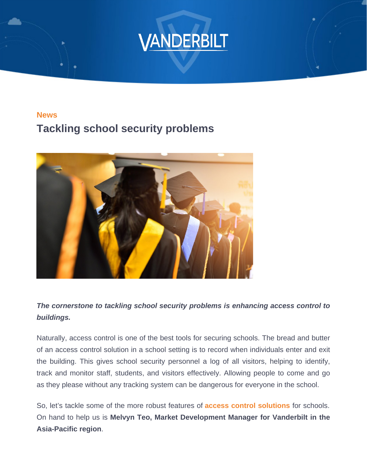**News** Tackling school security problems

The cornerstone to tackling school security problems is enhancing access control to buildings.

Naturally, access control is one of the best tools for securing schools. The bread and butter of an access control solution in a school setting is to record when individuals enter and exit the building. This gives school security personnel a log of all visitors, helping to identify, track and monitor staff, students, and visitors effectively. Allowing people to come and go as they please without any tracking system can be dangerous for everyone in the school.

So, let's tackle some of the more robust features of [access control solutions](/act-access-control) for schools. On hand to help us is Melvyn Teo, Market Development Manager for Vanderbilt in the Asia-Pacific region .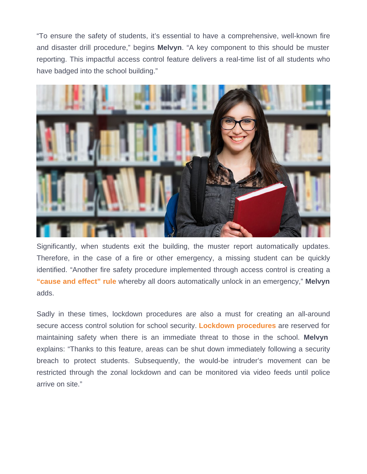"To ensure the safety of students, it's essential to have a comprehensive, well-known fire and disaster drill procedure," begins Melvyn . "A key component to this should be muster reporting. This impactful access control feature delivers a real-time list of all students who have badged into the school building."

Significantly, when students exit the building, the muster report automatically updates. Therefore, in the case of a fire or other emergency, a missing student can be quickly identified. "Another fire safety procedure implemented through access control is creating a ["cause and effect" rule](/news/act-enterprise-rules-mapping-engine) whereby all doors automatically unlock in an emergency," Melvyn adds.

Sadly in these times, lockdown procedures are also a must for creating an all-around secure access control solution for school security. [Lockdown procedures](/sectors/education) are reserved for maintaining safety when there is an immediate threat to those in the school. Melvyn explains: "Thanks to this feature, areas can be shut down immediately following a security breach to protect students. Subsequently, the would-be intruder's movement can be restricted through the zonal lockdown and can be monitored via video feeds until police arrive on site."